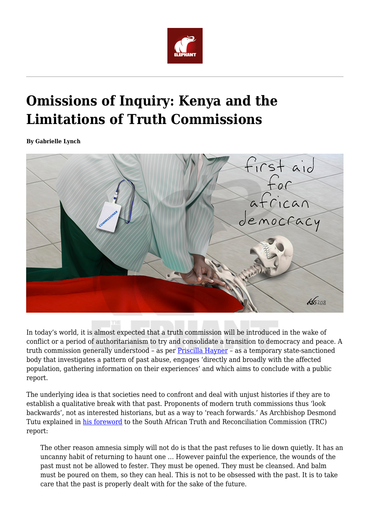

## **Omissions of Inquiry: Kenya and the Limitations of Truth Commissions**

**By Gabrielle Lynch**



In today's world, it is almost expected that a truth commission will be introduced in the wake of conflict or a period of authoritarianism to try and consolidate a transition to democracy and peace. A truth commission generally understood – as per [Priscilla Hayner](https://books.google.com/books/about/Unspeakable_Truths.html?id=A1l5SZCx-dEC&redir_esc=y) – as a temporary state-sanctioned body that investigates a pattern of past abuse, engages 'directly and broadly with the affected population, gathering information on their experiences' and which aims to conclude with a public report.

The underlying idea is that societies need to confront and deal with unjust histories if they are to establish a qualitative break with that past. Proponents of modern truth commissions thus 'look backwards', not as interested historians, but as a way to 'reach forwards.' As Archbishop Desmond Tutu explained in [his foreword](http://www.justice.gov.za/trc/report/finalreport/Volume%201.pdf) to the South African Truth and Reconciliation Commission (TRC) report:

The other reason amnesia simply will not do is that the past refuses to lie down quietly. It has an uncanny habit of returning to haunt one … However painful the experience, the wounds of the past must not be allowed to fester. They must be opened. They must be cleansed. And balm must be poured on them, so they can heal. This is not to be obsessed with the past. It is to take care that the past is properly dealt with for the sake of the future.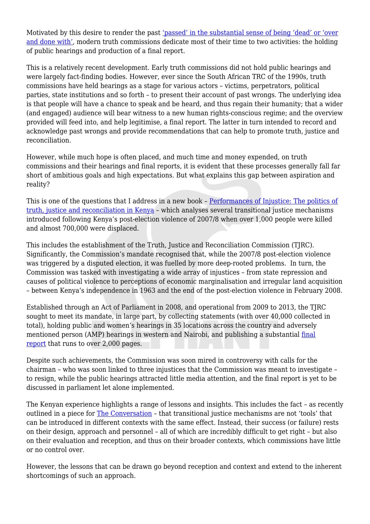Motivated by this desire to render the past ['passed' in the substantial sense of being 'dead' or 'over](https://www.routledge.com/History-Memory-and-State-Sponsored-Violence-Time-and-Justice/Bevernage/p/book/9780415883405) [and done with'](https://www.routledge.com/History-Memory-and-State-Sponsored-Violence-Time-and-Justice/Bevernage/p/book/9780415883405), modern truth commissions dedicate most of their time to two activities: the holding of public hearings and production of a final report.

This is a relatively recent development. Early truth commissions did not hold public hearings and were largely fact-finding bodies. However, ever since the South African TRC of the 1990s, truth commissions have held hearings as a stage for various actors – victims, perpetrators, political parties, state institutions and so forth – to present their account of past wrongs. The underlying idea is that people will have a chance to speak and be heard, and thus regain their humanity; that a wider (and engaged) audience will bear witness to a new human rights-conscious regime; and the overview provided will feed into, and help legitimise, a final report. The latter in turn intended to record and acknowledge past wrongs and provide recommendations that can help to promote truth, justice and reconciliation.

However, while much hope is often placed, and much time and money expended, on truth commissions and their hearings and final reports, it is evident that these processes generally fall far short of ambitious goals and high expectations. But what explains this gap between aspiration and reality?

This is one of the questions that I address in a new book – [Performances of Injustice: The politics of](https://www.cambridge.org/core/books/performances-of-injustice/B74DCE995FB6F9DCB1AD4C3BECC07323) [truth, justice and reconciliation in Kenya](https://www.cambridge.org/core/books/performances-of-injustice/B74DCE995FB6F9DCB1AD4C3BECC07323) – which analyses several transitional justice mechanisms introduced following Kenya's post-election violence of 2007/8 when over 1,000 people were killed and almost 700,000 were displaced.

This includes the establishment of the Truth, Justice and Reconciliation Commission (TJRC). Significantly, the Commission's mandate recognised that, while the 2007/8 post-election violence was triggered by a disputed election, it was fuelled by more deep-rooted problems. In turn, the Commission was tasked with investigating a wide array of injustices – from state repression and causes of political violence to perceptions of economic marginalisation and irregular land acquisition – between Kenya's independence in 1963 and the end of the post-election violence in February 2008.

Established through an Act of Parliament in 2008, and operational from 2009 to 2013, the TJRC sought to meet its mandate, in large part, by collecting statements (with over 40,000 collected in total), holding public and women's hearings in 35 locations across the country and adversely mentioned person (AMP) hearings in western and Nairobi, and publishing a substantial [final](https://digitalcommons.law.seattleu.edu/tjrc-core/) [report](https://digitalcommons.law.seattleu.edu/tjrc-core/) that runs to over 2,000 pages.

Despite such achievements, the Commission was soon mired in controversy with calls for the chairman – who was soon linked to three injustices that the Commission was meant to investigate – to resign, while the public hearings attracted little media attention, and the final report is yet to be discussed in parliament let alone implemented.

The Kenyan experience highlights a range of lessons and insights. This includes the fact – as recently outlined in a piece for [The Conversation](https://theconversation.com/transitional-justice-lessons-from-kenya-on-what-works-and-what-doesnt-101984) – that transitional justice mechanisms are not 'tools' that can be introduced in different contexts with the same effect. Instead, their success (or failure) rests on their design, approach and personnel – all of which are incredibly difficult to get right – but also on their evaluation and reception, and thus on their broader contexts, which commissions have little or no control over.

However, the lessons that can be drawn go beyond reception and context and extend to the inherent shortcomings of such an approach.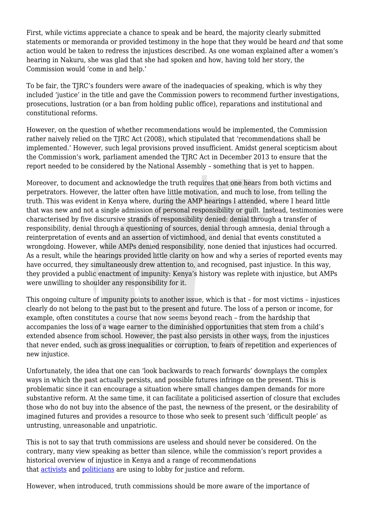First, while victims appreciate a chance to speak and be heard, the majority clearly submitted statements or memoranda or provided testimony in the hope that they would be heard *and* that some action would be taken to redress the injustices described. As one woman explained after a women's hearing in Nakuru, she was glad that she had spoken and how, having told her story, the Commission would 'come in and help.'

To be fair, the TJRC's founders were aware of the inadequacies of speaking, which is why they included 'justice' in the title and gave the Commission powers to recommend further investigations, prosecutions, lustration (or a ban from holding public office), reparations and institutional and constitutional reforms.

However, on the question of whether recommendations would be implemented, the Commission rather naively relied on the TJRC Act (2008), which stipulated that 'recommendations shall be implemented.' However, such legal provisions proved insufficient. Amidst general scepticism about the Commission's work, parliament amended the TJRC Act in December 2013 to ensure that the report needed to be considered by the National Assembly – something that is yet to happen.

Moreover, to document and acknowledge the truth requires that one hears from both victims and perpetrators. However, the latter often have little motivation, and much to lose, from telling the truth. This was evident in Kenya where, during the AMP hearings I attended, where I heard little that was new and not a single admission of personal responsibility or guilt. Instead, testimonies were characterised by five discursive strands of responsibility denied: denial through a transfer of responsibility, denial through a questioning of sources, denial through amnesia, denial through a reinterpretation of events and an assertion of victimhood, and denial that events constituted a wrongdoing. However, while AMPs denied responsibility, none denied that injustices had occurred. As a result, while the hearings provided little clarity on how and why a series of reported events may have occurred, they simultaneously drew attention to, and recognised, past injustice. In this way, they provided a public enactment of impunity: Kenya's history was replete with injustice, but AMPs were unwilling to shoulder any responsibility for it.

This ongoing culture of impunity points to another issue, which is that – for most victims – injustices clearly do not belong to the past but to the present and future. The loss of a person or income, for example, often constitutes a course that now seems beyond reach – from the hardship that accompanies the loss of a wage earner to the diminished opportunities that stem from a child's extended absence from school. However, the past also persists in other ways, from the injustices that never ended, such as gross inequalities or corruption, to fears of repetition and experiences of new injustice.

Unfortunately, the idea that one can 'look backwards to reach forwards' downplays the complex ways in which the past actually persists, and possible futures infringe on the present. This is problematic since it can encourage a situation where small changes dampen demands for more substantive reform. At the same time, it can facilitate a politicised assertion of closure that excludes those who do not buy into the absence of the past, the newness of the present, or the desirability of imagined futures and provides a resource to those who seek to present such 'difficult people' as untrusting, unreasonable and unpatriotic.

This is not to say that truth commissions are useless and should never be considered. On the contrary, many view speaking as better than silence, while the commission's report provides a historical overview of injustice in Kenya and a range of recommendations that [activists](https://www.ictj.org/news/victims-kenya-truth) and [politicians](https://www.the-star.co.ke/news/2017/07/31/nasa-to-implement-tjrc-report-and-reconcile-kenyans-kalonzo-tells_c1607081) are using to lobby for justice and reform.

However, when introduced, truth commissions should be more aware of the importance of